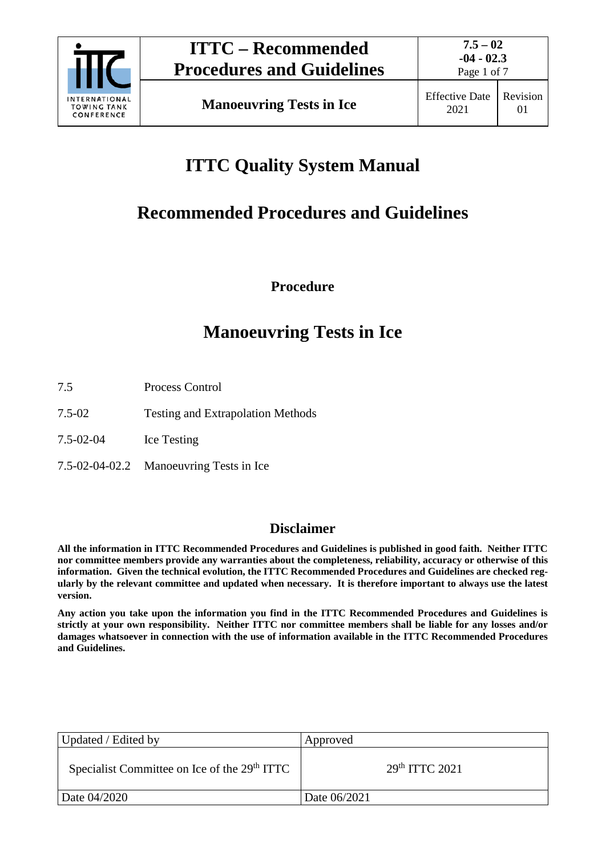

Page 1 of 7

## **ITTC Quality System Manual**

## **Recommended Procedures and Guidelines**

**Procedure**

## **Manoeuvring Tests in Ice**

- 7.5 Process Control
- 7.5-02 Testing and Extrapolation Methods
- 7.5-02-04 Ice Testing
- 7.5-02-04-02.2 Manoeuvring Tests in Ice

## **Disclaimer**

**All the information in ITTC Recommended Procedures and Guidelines is published in good faith. Neither ITTC nor committee members provide any warranties about the completeness, reliability, accuracy or otherwise of this information. Given the technical evolution, the ITTC Recommended Procedures and Guidelines are checked regularly by the relevant committee and updated when necessary. It is therefore important to always use the latest version.**

**Any action you take upon the information you find in the ITTC Recommended Procedures and Guidelines is strictly at your own responsibility. Neither ITTC nor committee members shall be liable for any losses and/or damages whatsoever in connection with the use of information available in the ITTC Recommended Procedures and Guidelines.**

| Updated / Edited by                                      | Approved                  |
|----------------------------------------------------------|---------------------------|
| Specialist Committee on Ice of the 29 <sup>th</sup> ITTC | 29 <sup>th</sup> TTC 2021 |
| Date 04/2020                                             | Date 06/2021              |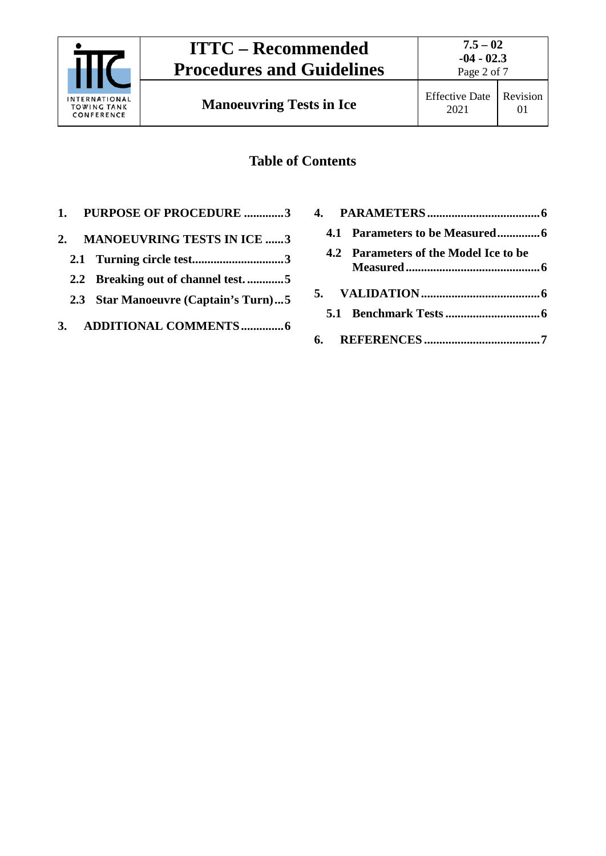

## **Table of Contents**

- **1. [PURPOSE OF PROCEDURE](#page-2-0) .............3**
- **2. [MANOEUVRING TESTS IN](#page-2-1) ICE ......3**
	- **2.1 [Turning circle test..............................3](#page-2-2)**
	- **2.2 [Breaking out of channel test.](#page-4-0) ............5**
	- **2.3 [Star Manoeuvre \(Captain's Turn\)...5](#page-4-1)**
- **3. [ADDITIONAL COMMENTS..............6](#page-5-0)**

| 4.2 Parameters of the Model Ice to be |
|---------------------------------------|
|                                       |
|                                       |
|                                       |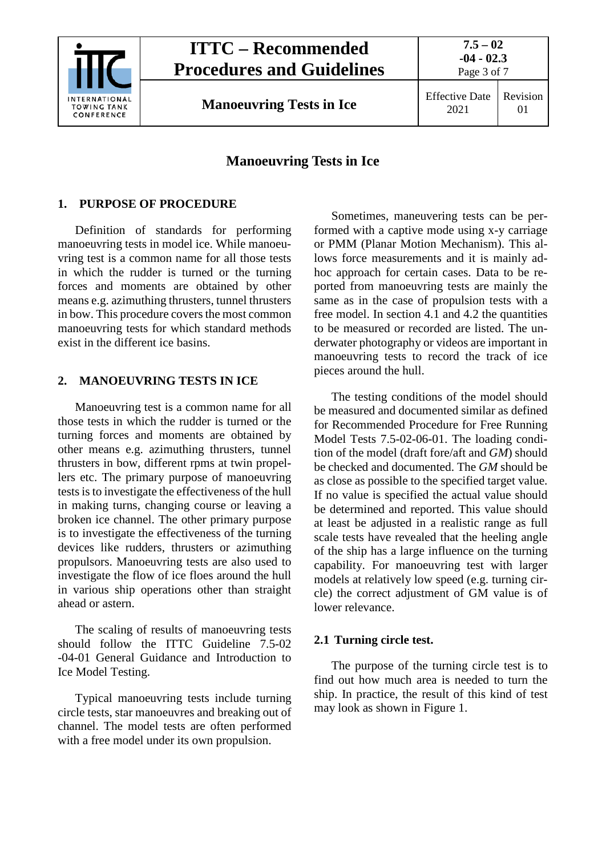

## **ITTC – Recommended Procedures and Guidelines**

**Manoeuvring Tests in Ice** Effective Date

# 2021

## Revision 01

**7.5 – 02 -04 - 02.3** Page 3 of 7

### **Manoeuvring Tests in Ice**

### <span id="page-2-0"></span>**1. PURPOSE OF PROCEDURE**

Definition of standards for performing manoeuvring tests in model ice. While manoeuvring test is a common name for all those tests in which the rudder is turned or the turning forces and moments are obtained by other means e.g. azimuthing thrusters, tunnel thrusters in bow. This procedure covers the most common manoeuvring tests for which standard methods exist in the different ice basins.

#### <span id="page-2-1"></span>**2. MANOEUVRING TESTS IN ICE**

Manoeuvring test is a common name for all those tests in which the rudder is turned or the turning forces and moments are obtained by other means e.g. azimuthing thrusters, tunnel thrusters in bow, different rpms at twin propellers etc. The primary purpose of manoeuvring tests is to investigate the effectiveness of the hull in making turns, changing course or leaving a broken ice channel. The other primary purpose is to investigate the effectiveness of the turning devices like rudders, thrusters or azimuthing propulsors. Manoeuvring tests are also used to investigate the flow of ice floes around the hull in various ship operations other than straight ahead or astern.

The scaling of results of manoeuvring tests should follow the ITTC Guideline 7.5-02 -04-01 General Guidance and Introduction to Ice Model Testing.

Typical manoeuvring tests include turning circle tests, star manoeuvres and breaking out of channel. The model tests are often performed with a free model under its own propulsion.

Sometimes, maneuvering tests can be performed with a captive mode using x-y carriage or PMM (Planar Motion Mechanism). This allows force measurements and it is mainly adhoc approach for certain cases. Data to be reported from manoeuvring tests are mainly the same as in the case of propulsion tests with a free model. In section 4.1 and 4.2 the quantities to be measured or recorded are listed. The underwater photography or videos are important in manoeuvring tests to record the track of ice pieces around the hull.

The testing conditions of the model should be measured and documented similar as defined for Recommended Procedure for Free Running Model Tests 7.5-02-06-01. The loading condition of the model (draft fore/aft and *GM*) should be checked and documented. The *GM* should be as close as possible to the specified target value. If no value is specified the actual value should be determined and reported. This value should at least be adjusted in a realistic range as full scale tests have revealed that the heeling angle of the ship has a large influence on the turning capability. For manoeuvring test with larger models at relatively low speed (e.g. turning circle) the correct adjustment of GM value is of lower relevance.

### <span id="page-2-2"></span>**2.1 Turning circle test.**

The purpose of the turning circle test is to find out how much area is needed to turn the ship. In practice, the result of this kind of test may look as shown in [Figure 1.](#page-3-0)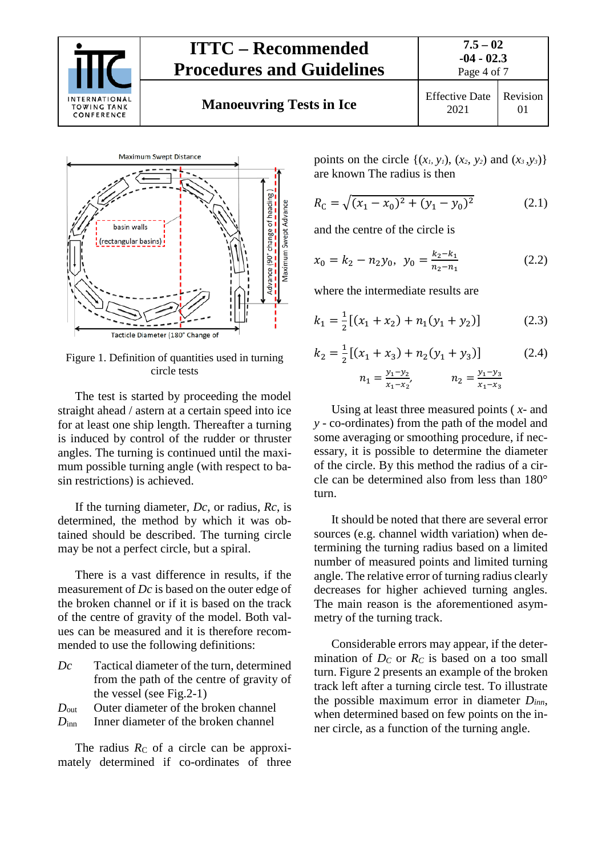

## **ITTC – Recommended Procedures and Guidelines Manoeuvring Tests in Ice** Effective Date



<span id="page-3-0"></span>Figure 1. Definition of quantities used in turning circle tests

The test is started by proceeding the model straight ahead / astern at a certain speed into ice for at least one ship length. Thereafter a turning is induced by control of the rudder or thruster angles. The turning is continued until the maximum possible turning angle (with respect to basin restrictions) is achieved.

If the turning diameter, *Dc*, or radius, *Rc*, is determined, the method by which it was obtained should be described. The turning circle may be not a perfect circle, but a spiral.

There is a vast difference in results, if the measurement of *Dc* is based on the outer edge of the broken channel or if it is based on the track of the centre of gravity of the model. Both values can be measured and it is therefore recommended to use the following definitions:

*Dc* Tactical diameter of the turn, determined from the path of the centre of gravity of the vessel (see Fig.2-1)

*D*<sub>out</sub> Outer diameter of the broken channel

*D*inn Inner diameter of the broken channel

The radius  $R_C$  of a circle can be approximately determined if co-ordinates of three points on the circle  $\{(x_1, y_1), (x_2, y_2) \text{ and } (x_3, y_3)\}$ are known The radius is then

$$
R_{\rm C} = \sqrt{(x_1 - x_0)^2 + (y_1 - y_0)^2} \tag{2.1}
$$

and the centre of the circle is

$$
x_0 = k_2 - n_2 y_0, \ y_0 = \frac{k_2 - k_1}{n_2 - n_1} \tag{2.2}
$$

where the intermediate results are

$$
k_1 = \frac{1}{2} [(x_1 + x_2) + n_1(y_1 + y_2)] \tag{2.3}
$$

$$
k_2 = \frac{1}{2} [(x_1 + x_3) + n_2 (y_1 + y_3)]
$$
 (2.4)  

$$
n_1 = \frac{y_1 - y_2}{x_1 - x_2'}, \qquad n_2 = \frac{y_1 - y_3}{x_1 - x_3}
$$

Using at least three measured points ( *x*- and *y* - co-ordinates) from the path of the model and some averaging or smoothing procedure, if necessary, it is possible to determine the diameter of the circle. By this method the radius of a circle can be determined also from less than 180° turn.

It should be noted that there are several error sources (e.g. channel width variation) when determining the turning radius based on a limited number of measured points and limited turning angle. The relative error of turning radius clearly decreases for higher achieved turning angles. The main reason is the aforementioned asymmetry of the turning track.

Considerable errors may appear, if the determination of  $D<sub>C</sub>$  or  $R<sub>C</sub>$  is based on a too small turn. [Figure 2](#page-4-2) presents an example of the broken track left after a turning circle test. To illustrate the possible maximum error in diameter *Dinn*, when determined based on few points on the inner circle, as a function of the turning angle.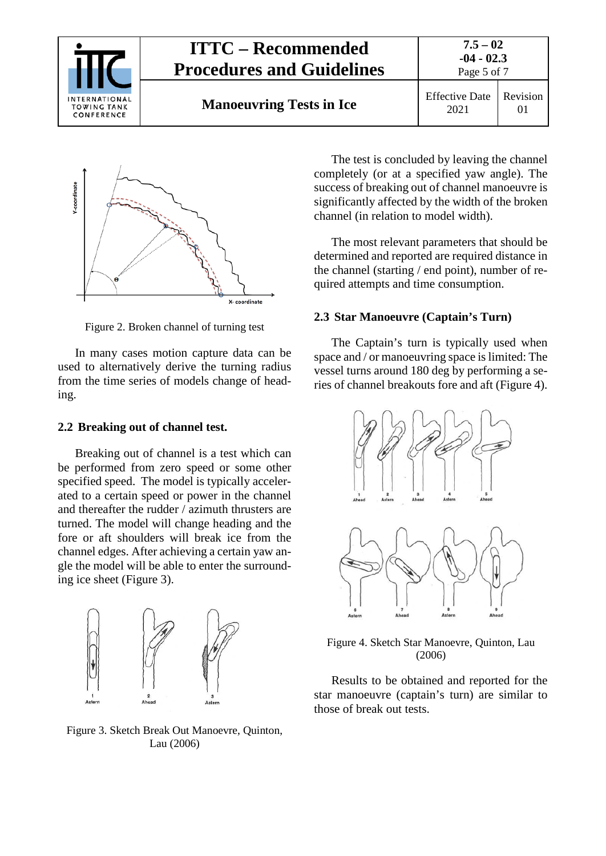



<span id="page-4-2"></span>Figure 2. Broken channel of turning test

In many cases motion capture data can be used to alternatively derive the turning radius from the time series of models change of heading.

#### <span id="page-4-0"></span>**2.2 Breaking out of channel test.**

Breaking out of channel is a test which can be performed from zero speed or some other specified speed. The model is typically accelerated to a certain speed or power in the channel and thereafter the rudder / azimuth thrusters are turned. The model will change heading and the fore or aft shoulders will break ice from the channel edges. After achieving a certain yaw angle the model will be able to enter the surrounding ice sheet [\(Figure 3\)](#page-4-3).



<span id="page-4-3"></span>Figure 3. Sketch Break Out Manoevre, Quinton, Lau (2006)

The test is concluded by leaving the channel completely (or at a specified yaw angle). The success of breaking out of channel manoeuvre is significantly affected by the width of the broken channel (in relation to model width).

The most relevant parameters that should be determined and reported are required distance in the channel (starting / end point), number of required attempts and time consumption.

#### <span id="page-4-1"></span>**2.3 Star Manoeuvre (Captain's Turn)**

The Captain's turn is typically used when space and / or manoeuvring space is limited: The vessel turns around 180 deg by performing a series of channel breakouts fore and aft [\(Figure 4\)](#page-4-4).



<span id="page-4-4"></span>Figure 4. Sketch Star Manoevre, Quinton, Lau (2006)

Results to be obtained and reported for the star manoeuvre (captain's turn) are similar to those of break out tests.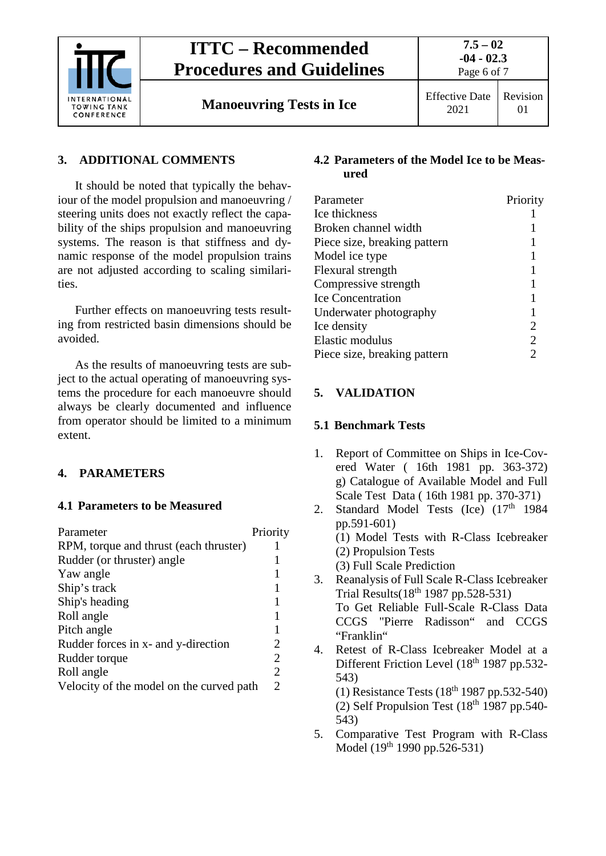

## **ITTC – Recommended Procedures and Guidelines**

**Manoeuvring Tests in Ice** Effective Date

### <span id="page-5-0"></span>**3. ADDITIONAL COMMENTS**

It should be noted that typically the behaviour of the model propulsion and manoeuvring / steering units does not exactly reflect the capability of the ships propulsion and manoeuvring systems. The reason is that stiffness and dynamic response of the model propulsion trains are not adjusted according to scaling similarities.

Further effects on manoeuvring tests resulting from restricted basin dimensions should be avoided.

As the results of manoeuvring tests are subject to the actual operating of manoeuvring systems the procedure for each manoeuvre should always be clearly documented and influence from operator should be limited to a minimum extent.

### <span id="page-5-2"></span><span id="page-5-1"></span>**4. PARAMETERS**

#### **4.1 Parameters to be Measured**

| Parameter                                | Priority       |
|------------------------------------------|----------------|
| RPM, torque and thrust (each thruster)   | 1              |
| Rudder (or thruster) angle               |                |
| Yaw angle                                |                |
| Ship's track                             |                |
| Ship's heading                           | 1              |
| Roll angle                               | 1              |
| Pitch angle                              | 1              |
| Rudder forces in x- and y-direction      | 2              |
| Rudder torque                            | $\overline{2}$ |
| Roll angle                               | $\overline{2}$ |
| Velocity of the model on the curved path | $\mathfrak{D}$ |

#### <span id="page-5-3"></span>**4.2 Parameters of the Model Ice to be Measured**

| Priority |
|----------|
|          |
|          |
|          |
|          |
|          |
|          |
|          |
|          |
| 2        |
| 2        |
|          |
|          |

### <span id="page-5-5"></span><span id="page-5-4"></span>**5. VALIDATION**

### **5.1 Benchmark Tests**

- 1. Report of Committee on Ships in Ice-Covered Water ( 16th 1981 pp. 363-372) g) Catalogue of Available Model and Full Scale Test Data ( 16th 1981 pp. 370-371)
- 2. Standard Model Tests (Ice) (17<sup>th</sup> 1984 pp.591-601) (1) Model Tests with R-Class Icebreaker (2) Propulsion Tests (3) Full Scale Prediction 3. Reanalysis of Full Scale R-Class Icebreaker Trial Results(18th 1987 pp.528-531)
- To Get Reliable Full-Scale R-Class Data CCGS "Pierre Radisson" and CCGS "Franklin"
- 4. Retest of R-Class Icebreaker Model at a Different Friction Level (18<sup>th</sup> 1987 pp.532-543) (1) Resistance Tests  $(18<sup>th</sup> 1987 pp.532-540)$ (2) Self Propulsion Test  $(18<sup>th</sup> 1987 pp.540-$ 543)
- 5. Comparative Test Program with R-Class Model (19<sup>th</sup> 1990 pp.526-531)